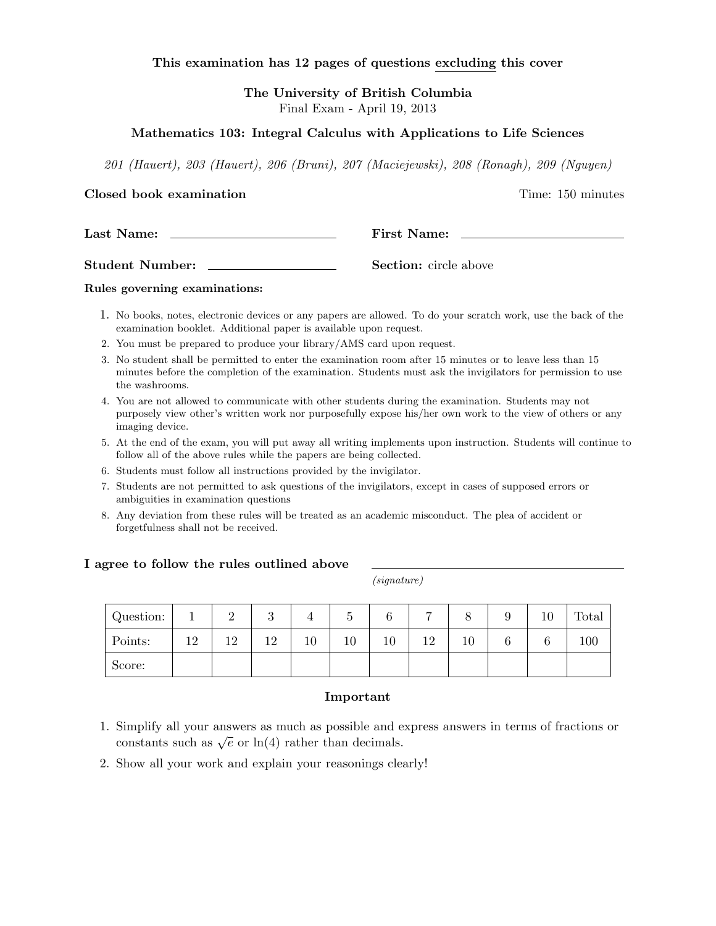## This examination has 12 pages of questions excluding this cover

The University of British Columbia Final Exam - April 19, 2013

## Mathematics 103: Integral Calculus with Applications to Life Sciences

201 (Hauert), 203 (Hauert), 206 (Bruni), 207 (Maciejewski), 208 (Ronagh), 209 (Nguyen)

### Closed book examination **Time:** 150 minutes

Student Number: Section: circle above

### Rules governing examinations:

- 1. No books, notes, electronic devices or any papers are allowed. To do your scratch work, use the back of the examination booklet. Additional paper is available upon request.
- 2. You must be prepared to produce your library/AMS card upon request.

Last Name: The Post of Pirst Name: The Post of Pirst Name: The Post of Pirst Name: The Post of Pirst Name: The Post of Pirst Name: The Post of Pirst Name: The Post of Pirst Name: The Post of Pirst Name: The Post of Pirst N

- 3. No student shall be permitted to enter the examination room after 15 minutes or to leave less than 15 minutes before the completion of the examination. Students must ask the invigilators for permission to use the washrooms.
- 4. You are not allowed to communicate with other students during the examination. Students may not purposely view other's written work nor purposefully expose his/her own work to the view of others or any imaging device.
- 5. At the end of the exam, you will put away all writing implements upon instruction. Students will continue to follow all of the above rules while the papers are being collected.
- 6. Students must follow all instructions provided by the invigilator.
- 7. Students are not permitted to ask questions of the invigilators, except in cases of supposed errors or ambiguities in examination questions
- 8. Any deviation from these rules will be treated as an academic misconduct. The plea of accident or forgetfulness shall not be received.

### I agree to follow the rules outlined above

(signature)

| Question: |                 |    | ◡                    |    | υ  | $\sqrt{2}$<br>O | −  |    | IJ | 10     | Total |
|-----------|-----------------|----|----------------------|----|----|-----------------|----|----|----|--------|-------|
| Points:   | 19 <sub>1</sub> | ∣ີ | 1 <sub>0</sub><br>⊥∠ | 10 | 10 | 10              | 12 | 10 | O  | $\sim$ | 100   |
| Score:    |                 |    |                      |    |    |                 |    |    |    |        |       |

### Important

- 1. Simplify all your answers as much as possible and express answers in terms of fractions or simplify an your answers as much as possible and exercise to constants such as  $\sqrt{e}$  or  $\ln(4)$  rather than decimals.
- 2. Show all your work and explain your reasonings clearly!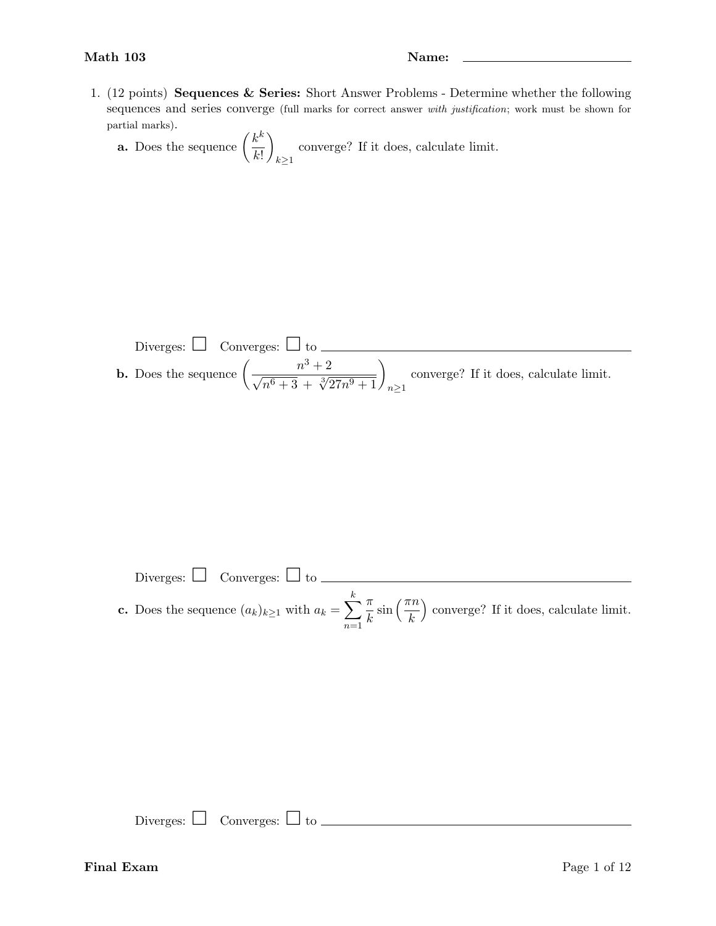1. (12 points) Sequences & Series: Short Answer Problems - Determine whether the following sequences and series converge (full marks for correct answer with justification; work must be shown for partial marks).

**a.** Does the sequence  $\left(\frac{k^k}{k^k}\right)$  $k!$  $\setminus$  $k\geq 1$ converge? If it does, calculate limit.

Diverges: 
$$
\Box
$$
 Converges:  $\Box$  to  $\frac{n^3 + 2}{\sqrt{n^6 + 3} + \sqrt[3]{27n^9 + 1}}_{n \ge 1}$  converge? If it does, calculate limit.

Diverges:  $\Box$  Converges:  $\Box$  to  $\Box$ k π  $\frac{\pi}{k}$  sin  $\left(\frac{\pi n}{k}\right)$  converge? If it does, calculate limit. **c.** Does the sequence  $(a_k)_{k\geq 1}$  with  $a_k = \sum$  $n=1$ 

Diverges:  $\Box$  Converges:  $\Box$  to  $\Box$ 

## **Final Exam** Page 1 of 12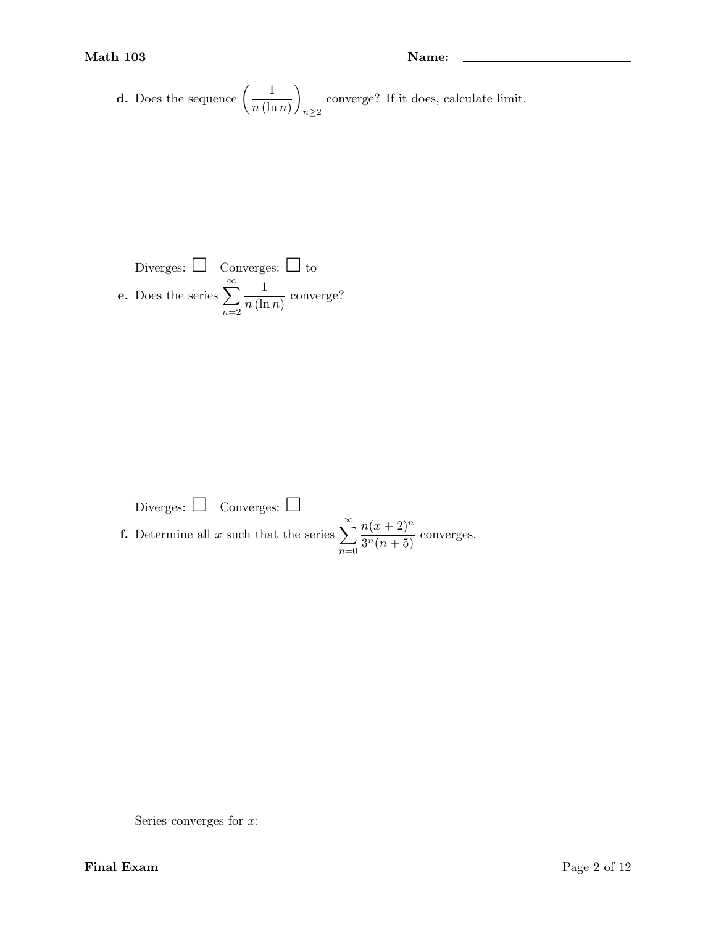## Math 103 Name: 2008 Name: 2008 Name: 2008 Name: 2008 Name: 2008 Name: 2008 Name: 2008 Name: 2008 Name: 2008 Name: 2008 Name: 2008 Name: 2008 Name: 2008 Name: 2008 Name: 2008 Name: 2008 Name: 2008 Name: 2008 Name: 2008 Name

**d.** Does the sequence 
$$
\left(\frac{1}{n(\ln n)}\right)_{n\geq 2}
$$
 converge? If it does, calculate limit.

Diverges: 
$$
\Box
$$
 Converges:  $\Box$  to  $\underline{\qquad}$   
e. Does the series  $\sum_{n=2}^{\infty} \frac{1}{n(\ln n)}$  converge?

Diverges: 
$$
\Box
$$
 Converges:  $\Box$   
\n**f.** Determine all *x* such that the series  $\sum_{n=0}^{\infty} \frac{n(x+2)^n}{3^n(n+5)}$  converges.

Series converges for  $x$ :  $\_\_$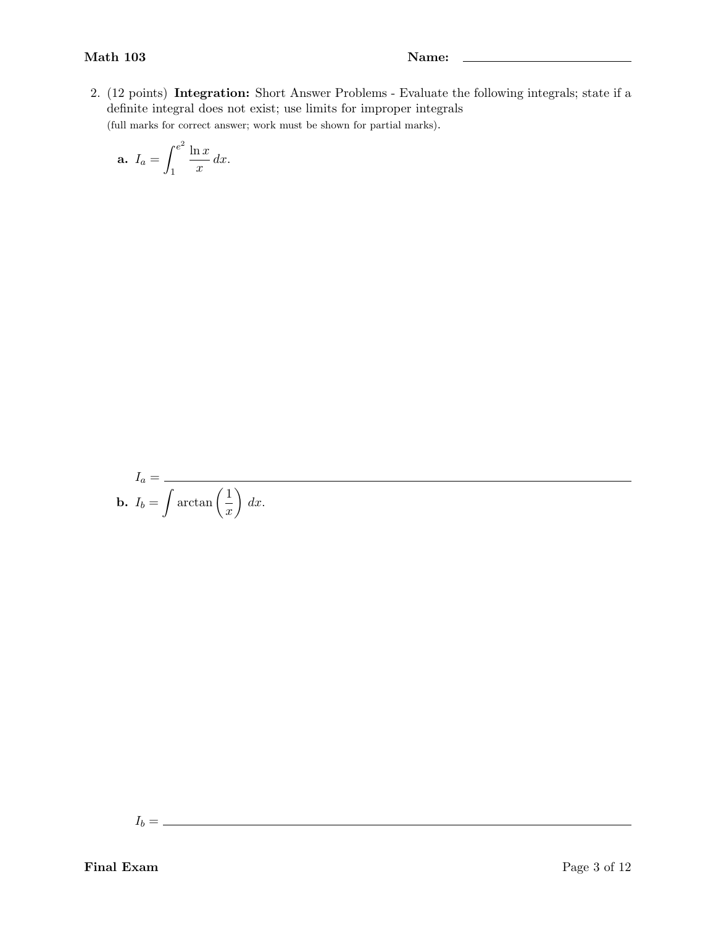2. (12 points) Integration: Short Answer Problems - Evaluate the following integrals; state if a definite integral does not exist; use limits for improper integrals (full marks for correct answer; work must be shown for partial marks).

$$
a. I_a = \int_1^{e^2} \frac{\ln x}{x} dx.
$$

$$
I_a = \frac{}{\mathbf{b.} \ \ I_b = \int \arctan\left(\frac{1}{x}\right) \, dx}.
$$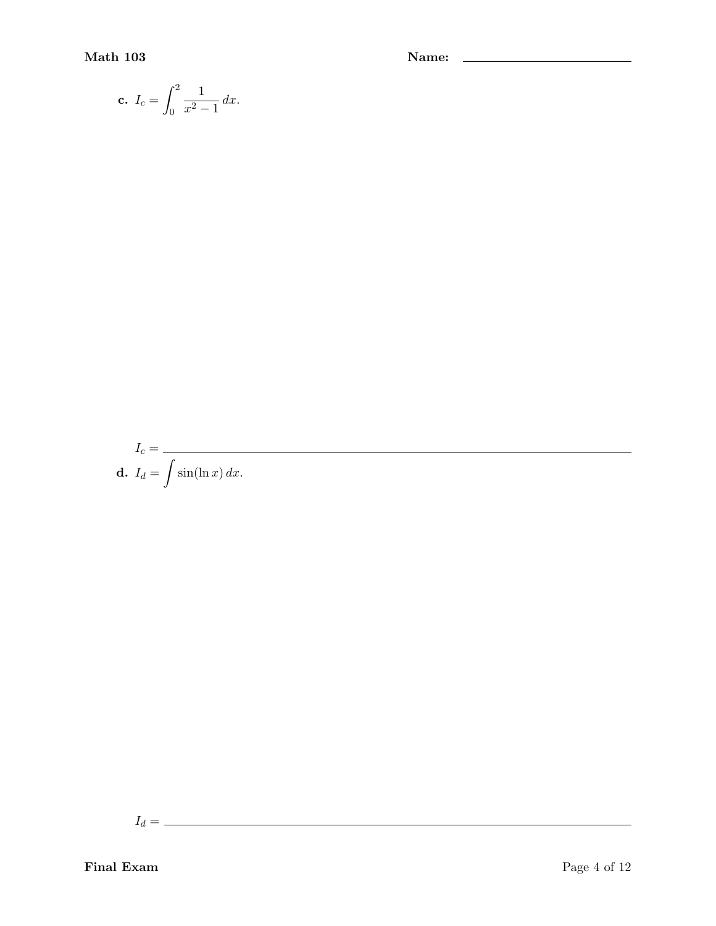$$
c. I_c = \int_0^2 \frac{1}{x^2 - 1} \, dx.
$$

$$
I_c = \frac{}{\mathbf{d.} \ \ I_d = \int \sin(\ln x) \, dx}.
$$

 $I_d = \_$ 

Final Exam Page 4 of 12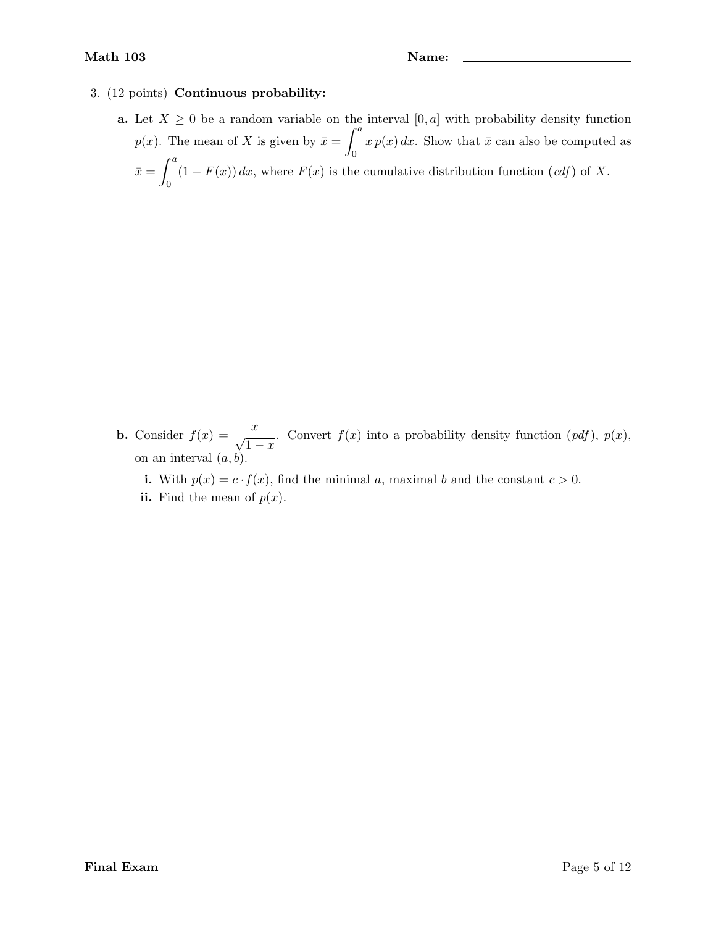## 3. (12 points) Continuous probability:

a. Let  $X \geq 0$  be a random variable on the interval  $[0, a]$  with probability density function  $p(x)$ . The mean of X is given by  $\bar{x} = \int_0^a x p(x) dx$ . Show that  $\bar{x}$  can also be computed as 0  $\bar{x} = \int^a$ 0  $(1 - F(x)) dx$ , where  $F(x)$  is the cumulative distribution function  $(cdf)$  of X.

- **b.** Consider  $f(x) = \frac{x}{\sqrt{2}}$  $1 - x$ . Convert  $f(x)$  into a probability density function  $(pdf)$ ,  $p(x)$ , on an interval  $(a, b)$ .
	- i. With  $p(x) = c \cdot f(x)$ , find the minimal a, maximal b and the constant  $c > 0$ .
	- ii. Find the mean of  $p(x)$ .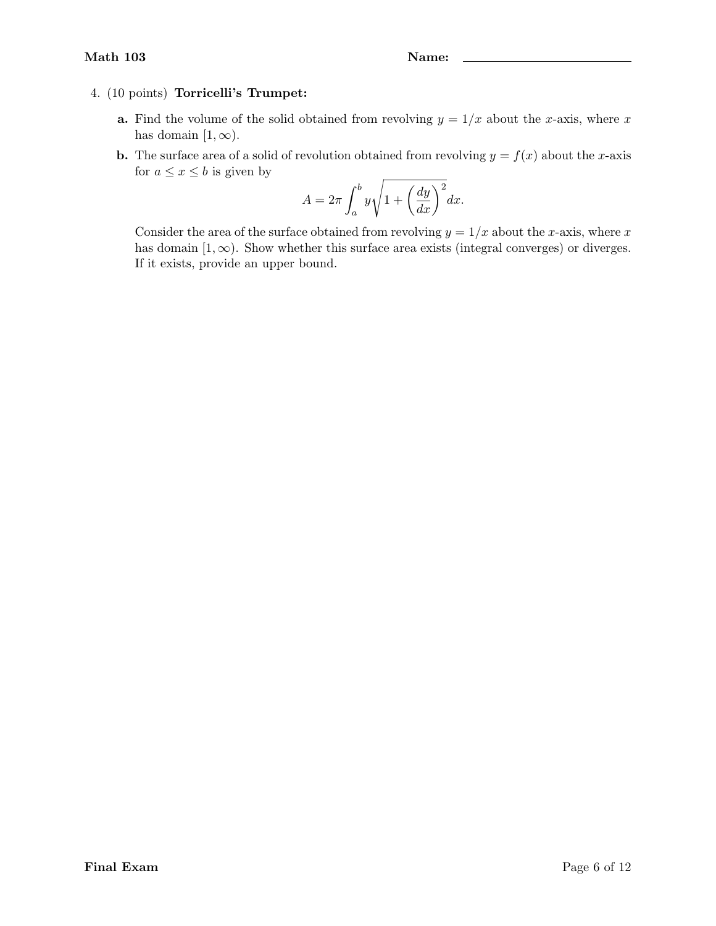## 4. (10 points) Torricelli's Trumpet:

- **a.** Find the volume of the solid obtained from revolving  $y = 1/x$  about the x-axis, where x has domain  $[1, \infty)$ .
- **b.** The surface area of a solid of revolution obtained from revolving  $y = f(x)$  about the x-axis for  $a \leq x \leq b$  is given by

$$
A = 2\pi \int_{a}^{b} y \sqrt{1 + \left(\frac{dy}{dx}\right)^2} dx.
$$

Consider the area of the surface obtained from revolving  $y = 1/x$  about the x-axis, where x has domain  $[1, \infty)$ . Show whether this surface area exists (integral converges) or diverges. If it exists, provide an upper bound.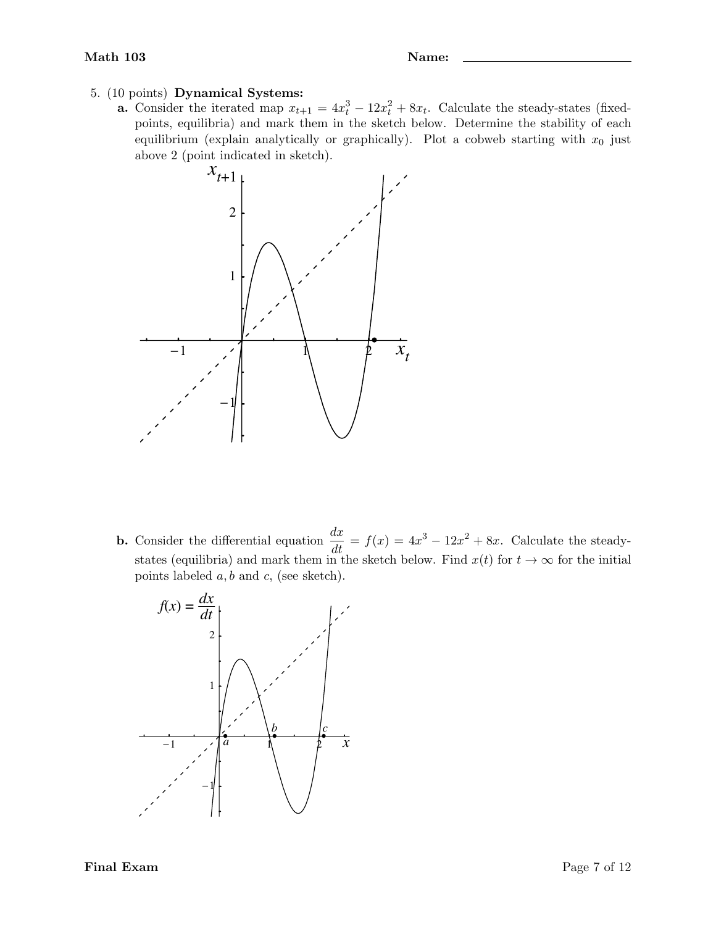- 5. (10 points) Dynamical Systems:
	- **a.** Consider the iterated map  $x_{t+1} = 4x_t^3 12x_t^2 + 8x_t$ . Calculate the steady-states (fixedpoints, equilibria) and mark them in the sketch below. Determine the stability of each equilibrium (explain analytically or graphically). Plot a cobweb starting with  $x_0$  just above 2 (point indicated in sketch).



**b.** Consider the differential equation  $\frac{dx}{dt} = f(x) = 4x^3 - 12x^2 + 8x$ . Calculate the steadystates (equilibria) and mark them in the sketch below. Find  $x(t)$  for  $t \to \infty$  for the initial points labeled  $a, b$  and  $c$ , (see sketch).

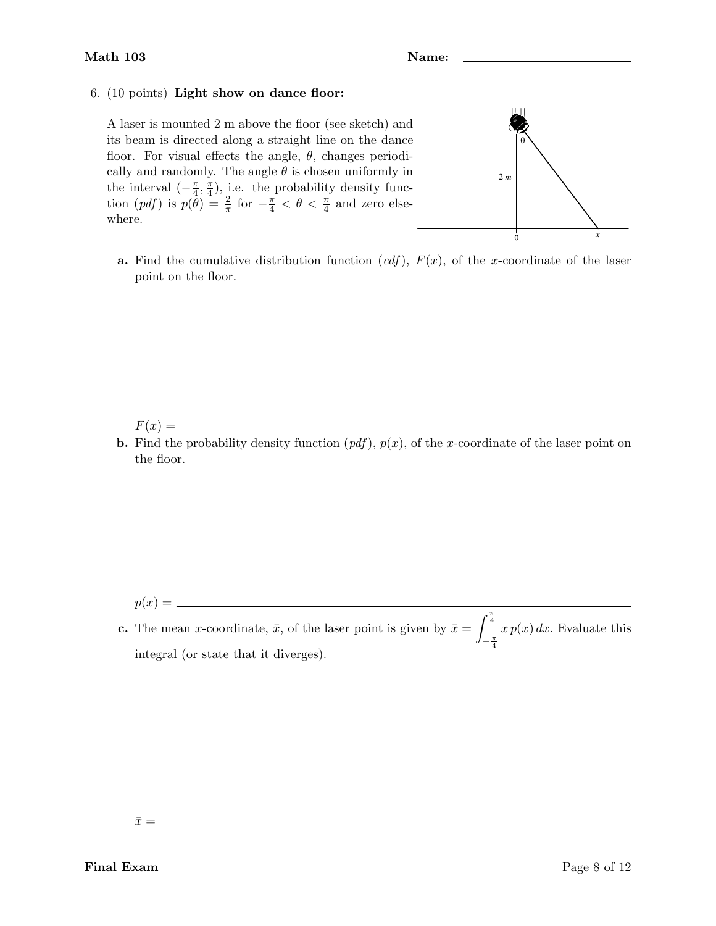## 6. (10 points) Light show on dance floor:

A laser is mounted 2 m above the floor (see sketch) and its beam is directed along a straight line on the dance floor. For visual effects the angle,  $\theta$ , changes periodically and randomly. The angle  $\theta$  is chosen uniformly in the interval  $\left(-\frac{\pi}{4}\right)$  $\frac{\pi}{4}$ ,  $\frac{\pi}{4}$  $(\frac{\pi}{4})$ , i.e. the probability density function  $(pdf)$  is  $p(\hat{\theta}) = \frac{2}{\pi}$  for  $-\frac{\pi}{4} < \theta < \frac{\pi}{4}$  and zero elsewhere.



**a.** Find the cumulative distribution function  $(cdf)$ ,  $F(x)$ , of the x-coordinate of the laser point on the floor.

F(x) =

**b.** Find the probability density function  $(pdf)$ ,  $p(x)$ , of the x-coordinate of the laser point on the floor.

p(x) =

**c.** The mean x-coordinate,  $\bar{x}$ , of the laser point is given by  $\bar{x} = \int_{0}^{\frac{\pi}{4}}$  $-\frac{\pi}{4}$  $x p(x) dx$ . Evaluate this integral (or state that it diverges).

 $\bar{x} = \_$ 

Final Exam Page 8 of 12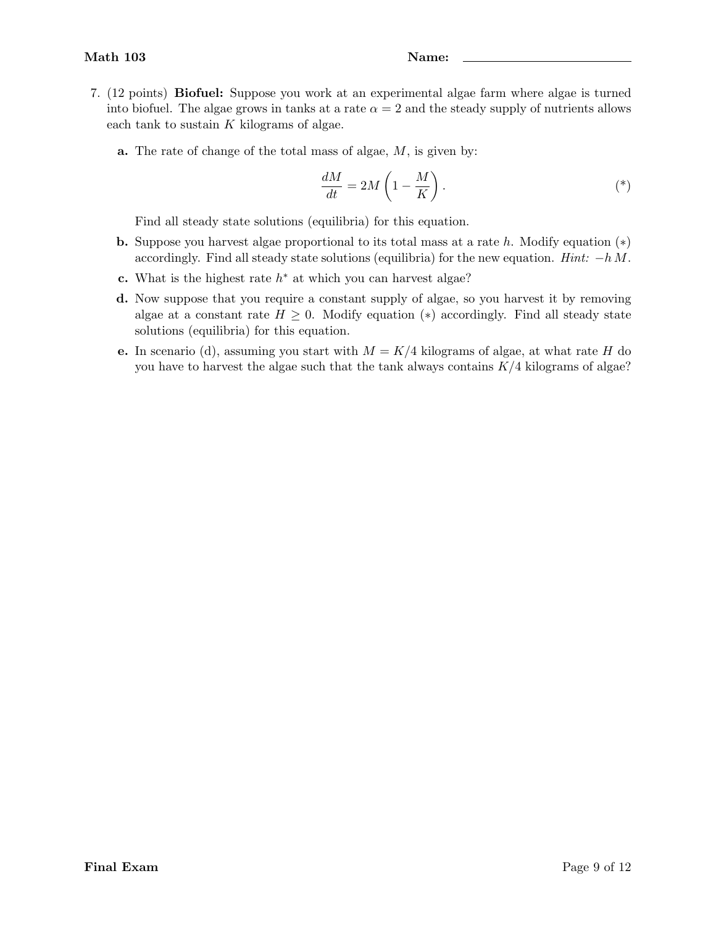- 7. (12 points) Biofuel: Suppose you work at an experimental algae farm where algae is turned into biofuel. The algae grows in tanks at a rate  $\alpha = 2$  and the steady supply of nutrients allows each tank to sustain  $K$  kilograms of algae.
	- a. The rate of change of the total mass of algae, M, is given by:

$$
\frac{dM}{dt} = 2M\left(1 - \frac{M}{K}\right). \tag{*}
$$

Find all steady state solutions (equilibria) for this equation.

- **b.** Suppose you harvest algae proportional to its total mass at a rate h. Modify equation  $(*)$ accordingly. Find all steady state solutions (equilibria) for the new equation. Hint:  $-h$  M.
- c. What is the highest rate  $h^*$  at which you can harvest algae?
- d. Now suppose that you require a constant supply of algae, so you harvest it by removing algae at a constant rate  $H \geq 0$ . Modify equation (\*) accordingly. Find all steady state solutions (equilibria) for this equation.
- e. In scenario (d), assuming you start with  $M = K/4$  kilograms of algae, at what rate H do you have to harvest the algae such that the tank always contains  $K/4$  kilograms of algae?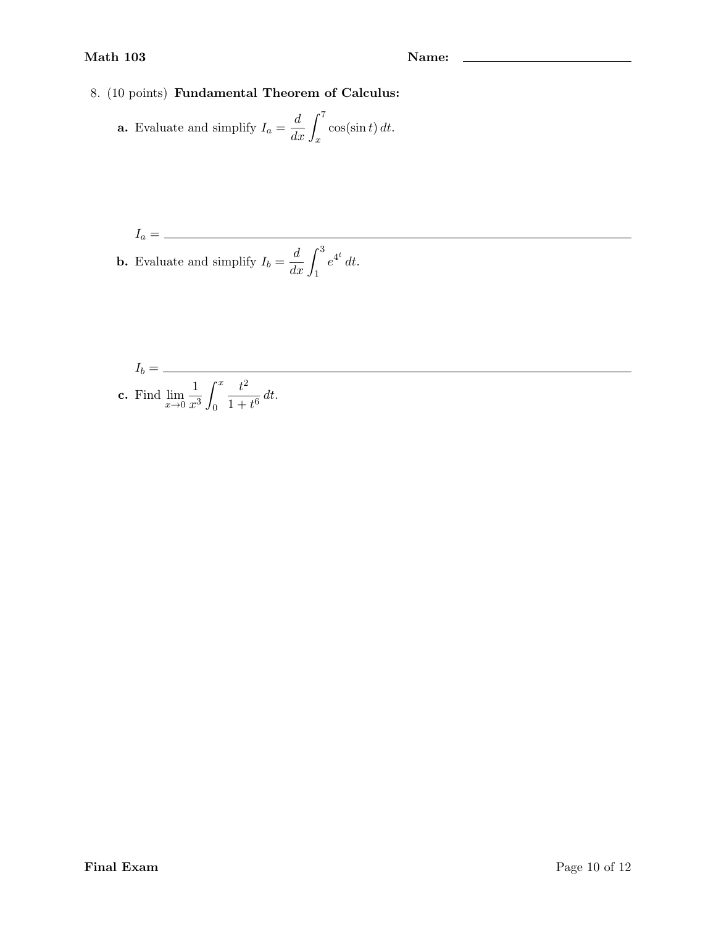## Math 103 Name: 2008 Name: 2008 Name: 2008 Name: 2008 Name: 2008 Name: 2008 Name: 2008 Name: 2008 Name: 2008 Name: 2008 Name: 2008 Name: 2008 Name: 2008 Name: 2008 Name: 2008 Name: 2008 Name: 2008 Name: 2008 Name: 2008 Name

8. (10 points) Fundamental Theorem of Calculus:

**a.** Evaluate and simplify 
$$
I_a = \frac{d}{dx} \int_x^7 \cos(\sin t) dt
$$
.

$$
I_a = \frac{1}{\text{b. Evaluate and simplify } I_b = \frac{d}{dx} \int_1^3 e^{4^t} dt}.
$$

$$
I_b = \frac{1}{\text{c. Find } \lim_{x \to 0} \frac{1}{x^3} \int_0^x \frac{t^2}{1 + t^6} dt.}
$$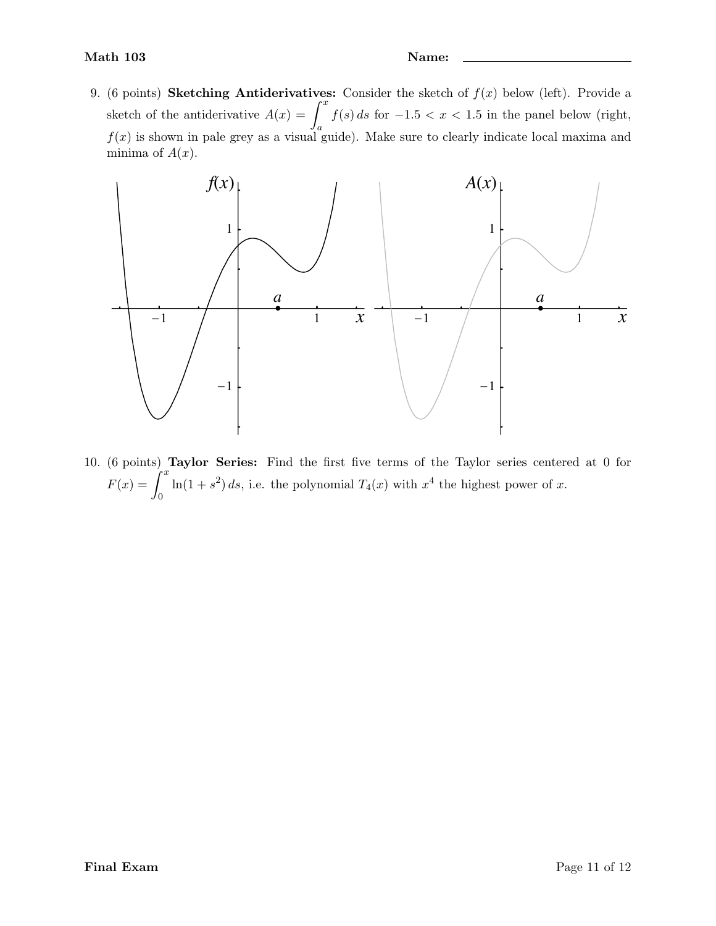9. (6 points) Sketching Antiderivatives: Consider the sketch of  $f(x)$  below (left). Provide a sketch of the antiderivative  $A(x) = \int^x$ a  $f(s) ds$  for  $-1.5 < x < 1.5$  in the panel below (right,  $f(x)$  is shown in pale grey as a visual guide). Make sure to clearly indicate local maxima and minima of  $A(x)$ .



10. (6 points) Taylor Series: Find the first five terms of the Taylor series centered at 0 for  $F(x) = \int_0^x$  $\boldsymbol{0}$  $\ln(1+s^2) ds$ , i.e. the polynomial  $T_4(x)$  with  $x^4$  the highest power of x.